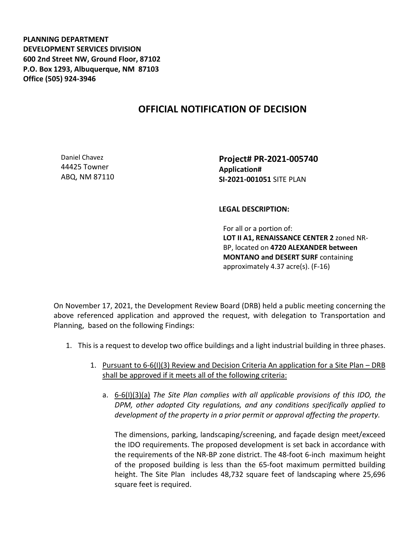**PLANNING DEPARTMENT DEVELOPMENT SERVICES DIVISION 600 2nd Street NW, Ground Floor, 87102 P.O. Box 1293, Albuquerque, NM 87103 Office (505) 924-3946** 

## **OFFICIAL NOTIFICATION OF DECISION**

Daniel Chavez 44425 Towner ABQ, NM 87110 **Project# PR-2021-005740 Application# SI-2021-001051** SITE PLAN

## **LEGAL DESCRIPTION:**

For all or a portion of: **LOT II A1, RENAISSANCE CENTER 2** zoned NR-BP, located on **4720 ALEXANDER between MONTANO and DESERT SURF** containing approximately 4.37 acre(s). (F-16)

On November 17, 2021, the Development Review Board (DRB) held a public meeting concerning the above referenced application and approved the request, with delegation to Transportation and Planning, based on the following Findings:

- 1. This is a request to develop two office buildings and a light industrial building in three phases.
	- 1. Pursuant to 6-6(I)(3) Review and Decision Criteria An application for a Site Plan DRB shall be approved if it meets all of the following criteria:
		- a. 6-6(I)(3)(a) *The Site Plan complies with all applicable provisions of this IDO, the DPM, other adopted City regulations, and any conditions specifically applied to development of the property in a prior permit or approval affecting the property.*

The dimensions, parking, landscaping/screening, and façade design meet/exceed the IDO requirements. The proposed development is set back in accordance with the requirements of the NR-BP zone district. The 48-foot 6-inch maximum height of the proposed building is less than the 65-foot maximum permitted building height. The Site Plan includes 48,732 square feet of landscaping where 25,696 square feet is required.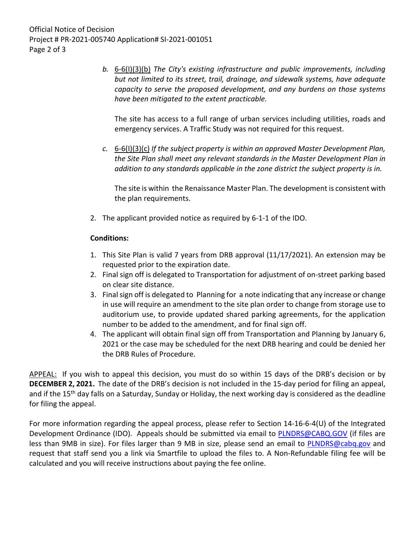*b.* 6-6(I)(3)(b) *The City's existing infrastructure and public improvements, including but not limited to its street, trail, drainage, and sidewalk systems, have adequate capacity to serve the proposed development, and any burdens on those systems have been mitigated to the extent practicable.* 

The site has access to a full range of urban services including utilities, roads and emergency services. A Traffic Study was not required for this request.

*c.* 6-6(I)(3)(c) *If the subject property is within an approved Master Development Plan, the Site Plan shall meet any relevant standards in the Master Development Plan in addition to any standards applicable in the zone district the subject property is in.*

The site is within the Renaissance Master Plan. The development is consistent with the plan requirements.

2. The applicant provided notice as required by 6-1-1 of the IDO.

## **Conditions:**

- 1. This Site Plan is valid 7 years from DRB approval (11/17/2021). An extension may be requested prior to the expiration date.
- 2. Final sign off is delegated to Transportation for adjustment of on-street parking based on clear site distance.
- 3. Final sign off is delegated to Planning for a note indicating that any increase or change in use will require an amendment to the site plan order to change from storage use to auditorium use, to provide updated shared parking agreements, for the application number to be added to the amendment, and for final sign off.
- 4. The applicant will obtain final sign off from Transportation and Planning by January 6, 2021 or the case may be scheduled for the next DRB hearing and could be denied her the DRB Rules of Procedure.

APPEAL: If you wish to appeal this decision, you must do so within 15 days of the DRB's decision or by **DECEMBER 2, 2021.** The date of the DRB's decision is not included in the 15-day period for filing an appeal, and if the 15<sup>th</sup> day falls on a Saturday, Sunday or Holiday, the next working day is considered as the deadline for filing the appeal.

For more information regarding the appeal process, please refer to Section 14-16-6-4(U) of the Integrated Development Ordinance (IDO). Appeals should be submitted via email to [PLNDRS@CABQ.GOV](mailto:PLNDRS@CABQ.GOV) (if files are less than 9MB in size). For files larger than 9 MB in size, please send an email to **PLNDRS@cabq.gov** and request that staff send you a link via Smartfile to upload the files to. A Non-Refundable filing fee will be calculated and you will receive instructions about paying the fee online.